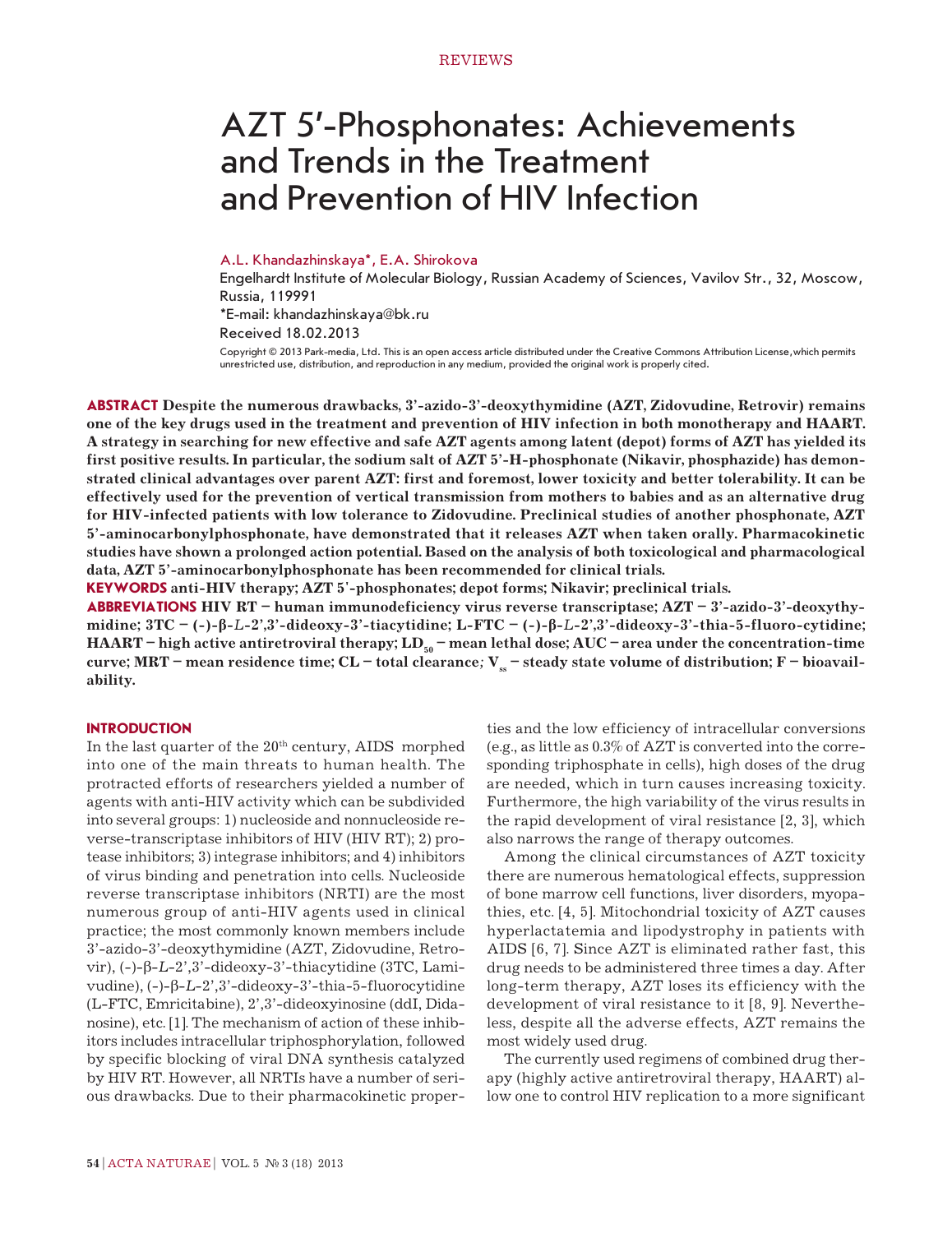# AZT 5'-Phosphonates: Achievements and Trends in the Treatment and Prevention of HIV Infection

#### А.L. Khandazhinskaya\*, E.A. Shirokova

Engelhardt Institute of Molecular Biology, Russian Academy of Sciences, Vavilov Str., 32, Moscow, Russia, 119991

\*E-mail: khandazhinskaya@bk.ru

Received 18.02.2013

Copyright © 2013 Park-media, Ltd. This is an open access article distributed under the Creative Commons Attribution License,which permits unrestricted use, distribution, and reproduction in any medium, provided the original work is properly cited.

**ABSTRACT Despite the numerous drawbacks, 3'-azido-3'-deoxythymidine (AZT, Zidovudine, Retrovir) remains one of the key drugs used in the treatment and prevention of HIV infection in both monotherapy and HAART. A strategy in searching for new effective and safe AZT agents among latent (depot) forms of AZT has yielded its first positive results. In particular, the sodium salt of AZT 5'-H-phosphonate (Nikavir, phosphazide) has demonstrated clinical advantages over parent AZT: first and foremost, lower toxicity and better tolerability. It can be effectively used for the prevention of vertical transmission from mothers to babies and as an alternative drug for HIV-infected patients with low tolerance to Zidovudine. Preclinical studies of another phosphonate, AZT 5'-aminocarbonylphosphonate, have demonstrated that it releases AZT when taken orally. Pharmacokinetic studies have shown a prolonged action potential. Based on the analysis of both toxicological and pharmacological data, AZT 5'-aminocarbonylphosphonate has been recommended for clinical trials.**

**KEYWORDS anti-HIV therapy; AZT 5'-phosphonates; depot forms; Nikavir; preclinical trials.**

**ABBREVIATIONS HIV RT – human immunodeficiency virus reverse transcriptase; AZT – 3'-azido-3'-deoxythymidine; 3ТС – (-)-β-***L***-2',3'-dideoxy-3'-tiacytidine; L-FTC – (-)-β-***L***-2',3'-dideoxy-3'-thia-5-fluoro-cytidine; HAART – high active antiretroviral therapy; LD<sub>50</sub> – mean lethal dose; AUC – area under the concentration-time curve; MRT – mean residence time; CL – total clearance;**  $V_s$  **– steady state volume of distribution;**  $F -$  **bioavailability.**

## **INTRODUCTION**

In the last quarter of the  $20<sup>th</sup>$  century, AIDS morphed into one of the main threats to human health. The protracted efforts of researchers yielded a number of agents with anti-HIV activity which can be subdivided into several groups: 1) nucleoside and nonnucleoside reverse-transcriptase inhibitors of HIV (HIV RT); 2) protease inhibitors; 3) integrase inhibitors; and 4) inhibitors of virus binding and penetration into cells. Nucleoside reverse transcriptase inhibitors (NRTI) are the most numerous group of anti-HIV agents used in clinical practice; the most commonly known members include 3'-azido-3'-deoxythymidine (AZT, Zidovudine, Retrovir), (-)-β-*L*-2',3'-dideoxy-3'-thiacytidine (3TC, Lamivudine), (-)-β-*L*-2',3'-dideoxy-3'-thia-5-fluorocytidine (L-FTC, Emricitabine), 2',3'-dideoxyinosine (ddI, Didanosine), etc. [1]. The mechanism of action of these inhibitors includes intracellular triphosphorylation, followed by specific blocking of viral DNA synthesis catalyzed by HIV RT. However, all NRTIs have a number of serious drawbacks. Due to their pharmacokinetic properties and the low efficiency of intracellular conversions (e.g., as little as 0.3% of AZT is converted into the corresponding triphosphate in cells), high doses of the drug are needed, which in turn causes increasing toxicity. Furthermore, the high variability of the virus results in the rapid development of viral resistance [2, 3], which also narrows the range of therapy outcomes.

Among the clinical circumstances of AZT toxicity there are numerous hematological effects, suppression of bone marrow cell functions, liver disorders, myopathies, etc. [4, 5]. Mitochondrial toxicity of AZT causes hyperlactatemia and lipodystrophy in patients with AIDS [6, 7]. Since AZT is eliminated rather fast, this drug needs to be administered three times a day. After long-term therapy, AZT loses its efficiency with the development of viral resistance to it [8, 9]. Nevertheless, despite all the adverse effects, AZT remains the most widely used drug.

The currently used regimens of combined drug therapy (highly active antiretroviral therapy, HAART) allow one to control HIV replication to a more significant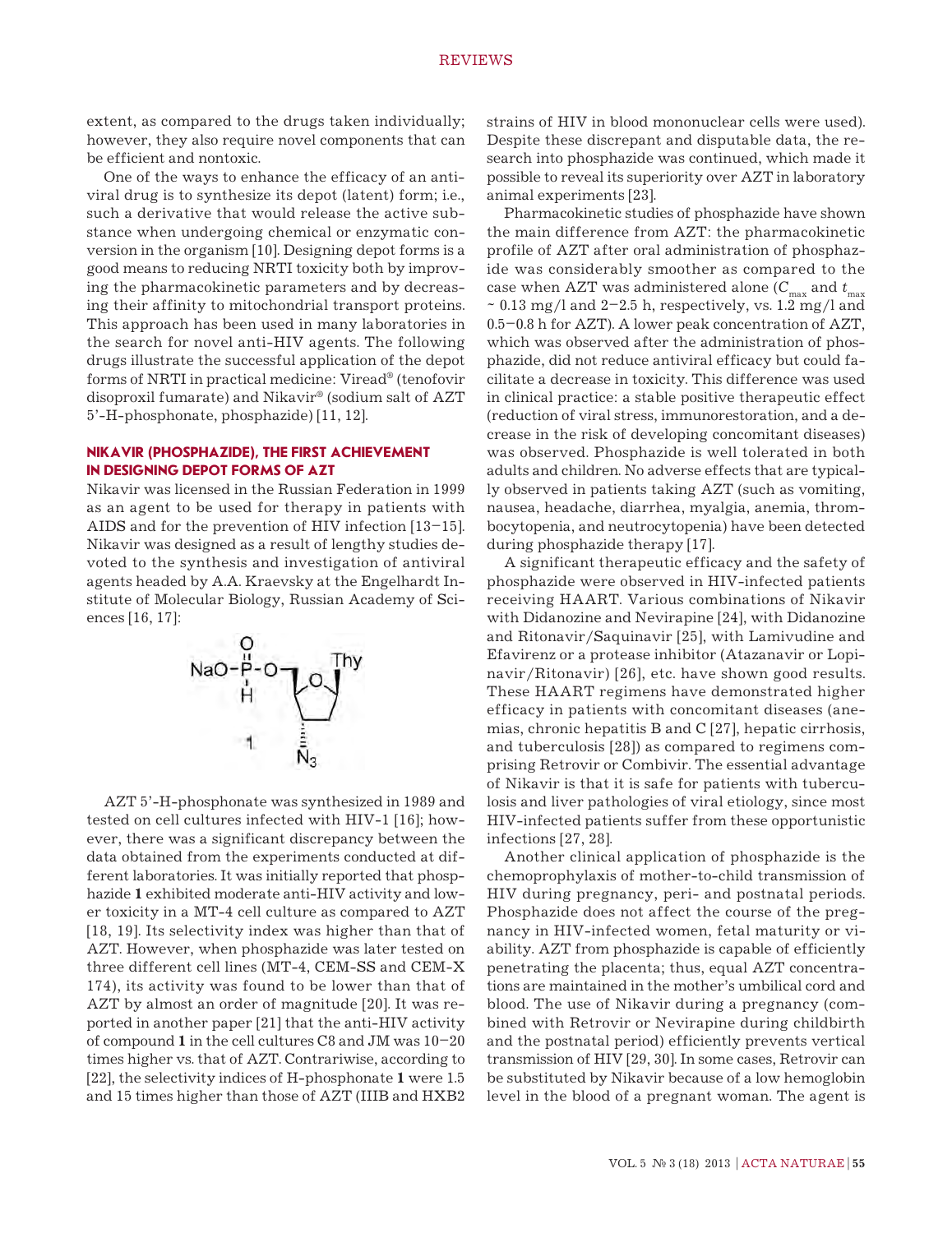extent, as compared to the drugs taken individually; however, they also require novel components that can be efficient and nontoxic.

One of the ways to enhance the efficacy of an antiviral drug is to synthesize its depot (latent) form; i.e., such a derivative that would release the active substance when undergoing chemical or enzymatic conversion in the organism [10]. Designing depot forms is a good means to reducing NRTI toxicity both by improving the pharmacokinetic parameters and by decreasing their affinity to mitochondrial transport proteins. This approach has been used in many laboratories in the search for novel anti-HIV agents. The following drugs illustrate the successful application of the depot forms of NRTI in practical medicine: Viread® (tenofovir disoproxil fumarate) and Nikavir® (sodium salt of AZT 5'-H-phosphonate, phosphazide) [11, 12].

## **NIKAVIR (PHOSPHAZIDE), THE FIRST ACHIEVEMENT IN DESIGNING DEPOT FORMS OF AZT**

Nikavir was licensed in the Russian Federation in 1999 as an agent to be used for therapy in patients with AIDS and for the prevention of HIV infection [13–15]. Nikavir was designed as a result of lengthy studies devoted to the synthesis and investigation of antiviral agents headed by A.A. Kraevsky at the Engelhardt Institute of Molecular Biology, Russian Academy of Sciences [16, 17]:



AZT 5'-H-phosphonate was synthesized in 1989 and tested on cell cultures infected with HIV-1 [16]; however, there was a significant discrepancy between the data obtained from the experiments conducted at different laboratories. It was initially reported that phosphazide **1** exhibited moderate anti-HIV activity and lower toxicity in a MT-4 cell culture as compared to AZT [18, 19]. Its selectivity index was higher than that of AZT. However, when phosphazide was later tested on three different cell lines (MT-4, CEM-SS and CEM-X 174), its activity was found to be lower than that of AZT by almost an order of magnitude [20]. It was reported in another paper [21] that the anti-HIV activity of compound **1** in the cell cultures C8 and JM was 10–20 times higher vs. that of AZT. Contrariwise, according to [22], the selectivity indices of H-phosphonate **1** were 1.5 and 15 times higher than those of AZT (IIIB and HXB2

strains of HIV in blood mononuclear cells were used). Despite these discrepant and disputable data, the research into phosphazide was continued, which made it possible to reveal its superiority over AZT in laboratory animal experiments [23].

Pharmacokinetic studies of phosphazide have shown the main difference from AZT: the pharmacokinetic profile of AZT after oral administration of phosphazide was considerably smoother as compared to the case when AZT was administered alone ( $C_{\text{max}}$  and  $t_{\text{max}}$ )  $\sim 0.13$  mg/l and 2-2.5 h, respectively, vs. 1.2 mg/l and 0.5–0.8 h for AZT). A lower peak concentration of AZT, which was observed after the administration of phosphazide, did not reduce antiviral efficacy but could facilitate a decrease in toxicity. This difference was used in clinical practice: a stable positive therapeutic effect (reduction of viral stress, immunorestoration, and a decrease in the risk of developing concomitant diseases) was observed. Phosphazide is well tolerated in both adults and children. No adverse effects that are typically observed in patients taking AZT (such as vomiting, nausea, headache, diarrhea, myalgia, anemia, thrombocytopenia, and neutrocytopenia) have been detected during phosphazide therapy [17].

A significant therapeutic efficacy and the safety of phosphazide were observed in HIV-infected patients receiving HAART. Various combinations of Nikavir with Didanozine and Nevirapine [24], with Didanozine and Ritonavir/Saquinavir [25], with Lamivudine and Efavirenz or a protease inhibitor (Atazanavir or Lopinavir/Ritonavir) [26], etc. have shown good results. These HAART regimens have demonstrated higher efficacy in patients with concomitant diseases (anemias, chronic hepatitis B and C [27], hepatic cirrhosis, and tuberculosis [28]) as compared to regimens comprising Retrovir or Combivir. The essential advantage of Nikavir is that it is safe for patients with tuberculosis and liver pathologies of viral etiology, since most HIV-infected patients suffer from these opportunistic infections [27, 28].

Another clinical application of phosphazide is the chemoprophylaxis of mother-to-child transmission of HIV during pregnancy, peri- and postnatal periods. Phosphazide does not affect the course of the pregnancy in HIV-infected women, fetal maturity or viability. AZT from phosphazide is capable of efficiently penetrating the placenta; thus, equal AZT concentrations are maintained in the mother's umbilical cord and blood. The use of Nikavir during a pregnancy (combined with Retrovir or Nevirapine during childbirth and the postnatal period) efficiently prevents vertical transmission of HIV [29, 30]. In some cases, Retrovir can be substituted by Nikavir because of a low hemoglobin level in the blood of a pregnant woman. The agent is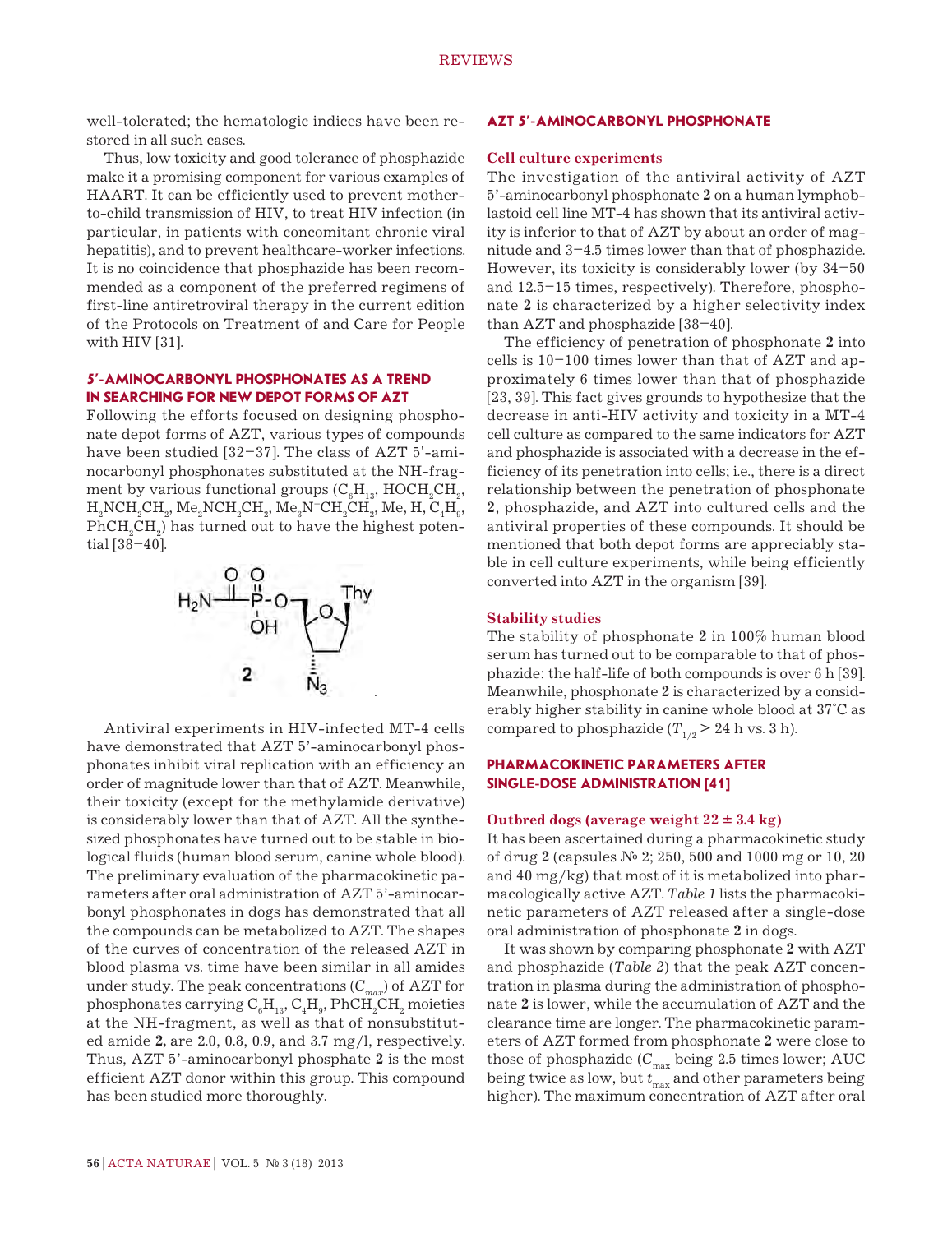well-tolerated; the hematologic indices have been restored in all such cases.

Thus, low toxicity and good tolerance of phosphazide make it a promising component for various examples of HAART. It can be efficiently used to prevent motherto-child transmission of HIV, to treat HIV infection (in particular, in patients with concomitant chronic viral hepatitis), and to prevent healthcare-worker infections. It is no coincidence that phosphazide has been recommended as a component of the preferred regimens of first-line antiretroviral therapy in the current edition of the Protocols on Treatment of and Care for People with HIV [31].

# **5'-AMINOCARBONYL PHOSPHONATES AS A TREND IN SEARCHING FOR NEW DEPOT FORMS OF AZT**

Following the efforts focused on designing phosphonate depot forms of AZT, various types of compounds have been studied [32–37]. The class of AZT 5'-aminocarbonyl phosphonates substituted at the NH-fragment by various functional groups ( $\mathrm{C_{6}H_{13}}$ ,  $\mathrm{HOCH_{2}CH_{2}},$  $\mathrm{H_{2}NCH_{2}CH_{2}, Me_{2}NCH_{2}CH_{2}, Me_{3}N^{+}CH_{2}CH_{2}, Me, H, C_{4}H_{9},}$  $\mathrm{PhCH}_{_2}\mathrm{CH}_{_2}\mathrm{)}$  has turned out to have the highest potential [38–40].



Antiviral experiments in HIV-infected MT-4 cells have demonstrated that AZT 5'-aminocarbonyl phosphonates inhibit viral replication with an efficiency an order of magnitude lower than that of AZT. Meanwhile, their toxicity (except for the methylamide derivative) is considerably lower than that of AZT. All the synthesized phosphonates have turned out to be stable in biological fluids (human blood serum, canine whole blood). The preliminary evaluation of the pharmacokinetic parameters after oral administration of AZT 5'-aminocarbonyl phosphonates in dogs has demonstrated that all the compounds can be metabolized to AZT. The shapes of the curves of concentration of the released AZT in blood plasma vs. time have been similar in all amides under study. The peak concentrations ( $C_{max}$ ) of AZT for phosphonates carrying  $\mathrm{C_{6}H_{13}, C_{4}H_{9}, PhCH_{2}CH_{2}}$  moieties at the NH-fragment, as well as that of nonsubstituted amide **2,** are 2.0, 0.8, 0.9, and 3.7 mg/l, respectively. Thus, AZT 5'-aminocarbonyl phosphate **2** is the most efficient AZT donor within this group. This compound has been studied more thoroughly.

#### **AZT 5'-AMINOCARBONYL PHOSPHONATE**

#### **Cell culture experiments**

The investigation of the antiviral activity of AZT 5'-aminocarbonyl phosphonate **2** on a human lymphoblastoid cell line MT-4 has shown that its antiviral activity is inferior to that of AZT by about an order of magnitude and 3–4.5 times lower than that of phosphazide. However, its toxicity is considerably lower (by 34–50 and 12.5–15 times, respectively). Therefore, phosphonate **2** is characterized by a higher selectivity index than AZT and phosphazide [38–40].

The efficiency of penetration of phosphonate **2** into cells is  $10-100$  times lower than that of AZT and approximately 6 times lower than that of phosphazide [23, 39]. This fact gives grounds to hypothesize that the decrease in anti-HIV activity and toxicity in a MT-4 cell culture as compared to the same indicators for AZT and phosphazide is associated with a decrease in the efficiency of its penetration into cells; i.e., there is a direct relationship between the penetration of phosphonate **2**, phosphazide, and AZT into cultured cells and the antiviral properties of these compounds. It should be mentioned that both depot forms are appreciably stable in cell culture experiments, while being efficiently converted into AZT in the organism [39].

#### **Stability studies**

The stability of phosphonate **2** in 100% human blood serum has turned out to be comparable to that of phosphazide: the half-life of both compounds is over 6 h [39]. Meanwhile, phosphonate **2** is characterized by a considerably higher stability in canine whole blood at 37°С as compared to phosphazide ( $T_{1/2}$  > 24 h vs. 3 h).

# **PHARMACOKINETIC PARAMETERS AFTER SINGLE-DOSE ADMINISTRATION [41]**

#### **Outbred dogs (average weight 22 ± 3.4 kg)**

It has been ascertained during a pharmacokinetic study of drug **2** (capsules № 2; 250, 500 and 1000 mg or 10, 20 and 40 mg/kg) that most of it is metabolized into pharmacologically active AZT. *Table 1* lists the pharmacokinetic parameters of AZT released after a single-dose oral administration of phosphonate **2** in dogs.

It was shown by comparing phosphonate **2** with AZT and phosphazide (*Table 2*) that the peak AZT concentration in plasma during the administration of phosphonate **2** is lower, while the accumulation of AZT and the clearance time are longer. The pharmacokinetic parameters of AZT formed from phosphonate **2** were close to those of phosphazide ( $C_{\rm max}$  being 2.5 times lower; AUC being twice as low, but  $t_{\text{max}}$  and other parameters being higher). The maximum concentration of AZT after oral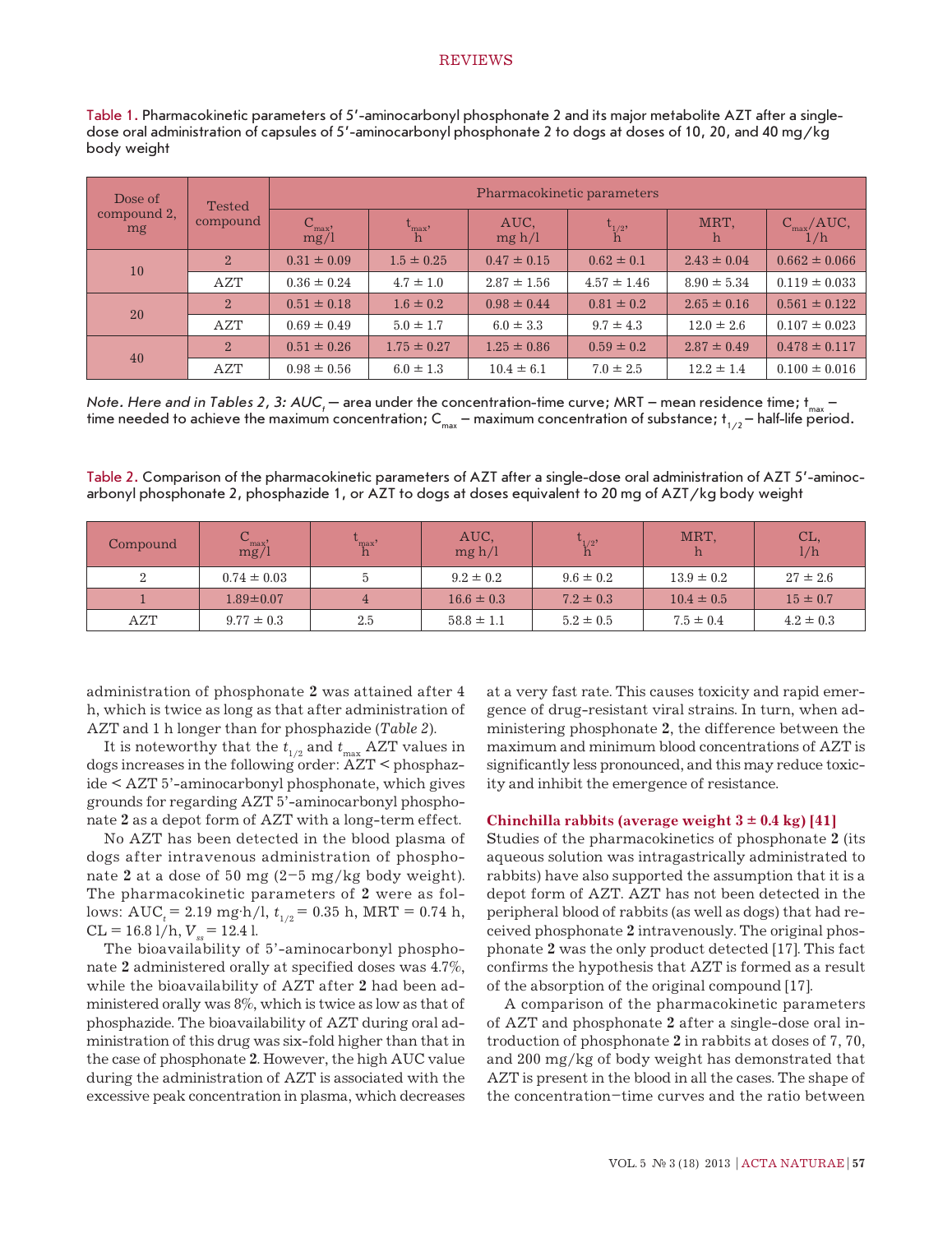### **REVIEWS**

| Table 1. Pharmacokinetic parameters of 5'-aminocarbonyl phosphonate 2 and its major metabolite AZT after a single- |
|--------------------------------------------------------------------------------------------------------------------|
| dose oral administration of capsules of 5'-aminocarbonyl phosphonate 2 to dogs at doses of 10, 20, and 40 mg/kg    |
| body weight                                                                                                        |

| Dose of<br>compound 2,<br>mg | <b>Tested</b><br>compound | Pharmacokinetic parameters  |                             |                 |                               |                 |                                  |
|------------------------------|---------------------------|-----------------------------|-----------------------------|-----------------|-------------------------------|-----------------|----------------------------------|
|                              |                           | $\frac{C_{\text{max}}}{mg}$ | $\mathrm{t_{max}, \atop h}$ | AUC,<br>mg h/l  | ${\rm t}_{1/2}^{\phantom{1}}$ | MRT,<br>h       | $\frac{C_{\text{max}}/AUC}{1/h}$ |
| 10                           | $2^{\circ}$               | $0.31 \pm 0.09$             | $1.5 \pm 0.25$              | $0.47 \pm 0.15$ | $0.62 \pm 0.1$                | $2.43 \pm 0.04$ | $0.662 \pm 0.066$                |
|                              | AZT                       | $0.36 \pm 0.24$             | $4.7 \pm 1.0$               | $2.87 \pm 1.56$ | $4.57 \pm 1.46$               | $8.90 \pm 5.34$ | $0.119 \pm 0.033$                |
| <b>20</b>                    | 2 <sup>1</sup>            | $0.51 \pm 0.18$             | $1.6 \pm 0.2$               | $0.98 \pm 0.44$ | $0.81 \pm 0.2$                | $2.65 \pm 0.16$ | $0.561 \pm 0.122$                |
|                              | <b>AZT</b>                | $0.69 \pm 0.49$             | $5.0 \pm 1.7$               | $6.0 \pm 3.3$   | $9.7 \pm 4.3$                 | $12.0 \pm 2.6$  | $0.107 \pm 0.023$                |
| 40                           | $2^{\circ}$               | $0.51 \pm 0.26$             | $1.75 \pm 0.27$             | $1.25 \pm 0.86$ | $0.59 \pm 0.2$                | $2.87 \pm 0.49$ | $0.478 \pm 0.117$                |
|                              | <b>AZT</b>                | $0.98 \pm 0.56$             | $6.0 \pm 1.3$               | $10.4 \pm 6.1$  | $7.0 \pm 2.5$                 | $12.2 \pm 1.4$  | $0.100 \pm 0.016$                |

*Note. Here and in Tables 2, 3: AUC<sub>t</sub>* – area under the concentration-time curve; MRT – mean residence time; t<sub>max</sub> – time needed to achieve the maximum concentration;  $C_{max}$  – maximum concentration of substance;  $t_{1/2}$  – half-life period.

Table 2. Comparison of the pharmacokinetic parameters of AZT after a single-dose oral administration of AZT 5'-aminocarbonyl phosphonate 2, phosphazide 1, or AZT to dogs at doses equivalent to 20 mg of AZT/kg body weight

| Compound | $\frac{C_{\text{max}}}{\text{mg}}$ | 'max' | AUC,<br>mg h/l | $\iota_{1/2}$<br>ш | MRT,           | CL,<br>1/h    |
|----------|------------------------------------|-------|----------------|--------------------|----------------|---------------|
|          | $0.74 \pm 0.03$                    |       | $9.2 \pm 0.2$  | $9.6 \pm 0.2$      | $13.9 \pm 0.2$ | $27 \pm 2.6$  |
|          | $1.89 \pm 0.07$                    |       | $16.6 \pm 0.3$ | $7.2 \pm 0.3$      | $10.4 \pm 0.5$ | $15 \pm 0.7$  |
| AZT      | $9.77 \pm 0.3$                     | 2.5   | $58.8 \pm 1.1$ | $5.2 \pm 0.5$      | $7.5 \pm 0.4$  | $4.2 \pm 0.3$ |

administration of phosphonate **2** was attained after 4 h, which is twice as long as that after administration of AZT and 1 h longer than for phosphazide (*Table 2*).

It is noteworthy that the  $t_{1/2}$  and  $t_{\text{max}}$  AZT values in dogs increases in the following order: AZT < phosphazide < AZT 5'-aminocarbonyl phosphonate, which gives grounds for regarding AZT 5'-aminocarbonyl phosphonate **2** as a depot form of AZT with a long-term effect.

No AZT has been detected in the blood plasma of dogs after intravenous administration of phosphonate 2 at a dose of 50 mg  $(2-5 \text{ mg/kg}$  body weight). The pharmacokinetic parameters of **2** were as follows:  $AUC_t = 2.19$  mg·h/l,  $t_{1/2} = 0.35$  h, MRT = 0.74 h,  $CL = 16.8$  l/h,  $V_s = 12.4$  l.

The bioavailability of 5'-aminocarbonyl phosphonate **2** administered orally at specified doses was 4.7%, while the bioavailability of AZT after **2** had been administered orally was 8%, which is twice as low as that of phosphazide. The bioavailability of AZT during oral administration of this drug was six-fold higher than that in the case of phosphonate **2**. However, the high AUC value during the administration of AZT is associated with the excessive peak concentration in plasma, which decreases

at a very fast rate. This causes toxicity and rapid emergence of drug-resistant viral strains. In turn, when administering phosphonate **2**, the difference between the maximum and minimum blood concentrations of AZT is significantly less pronounced, and this may reduce toxicity and inhibit the emergence of resistance.

#### **Chinchilla rabbits (average weight 3 ± 0.4 kg) [41]**

Studies of the pharmacokinetics of phosphonate **2** (its aqueous solution was intragastrically administrated to rabbits) have also supported the assumption that it is a depot form of AZT. AZT has not been detected in the peripheral blood of rabbits (as well as dogs) that had received phosphonate **2** intravenously. The original phosphonate **2** was the only product detected [17]. This fact confirms the hypothesis that AZT is formed as a result of the absorption of the original compound [17].

A comparison of the pharmacokinetic parameters of AZT and phosphonate **2** after a single-dose oral introduction of phosphonate **2** in rabbits at doses of 7, 70, and 200 mg/kg of body weight has demonstrated that AZT is present in the blood in all the cases. The shape of the concentration–time curves and the ratio between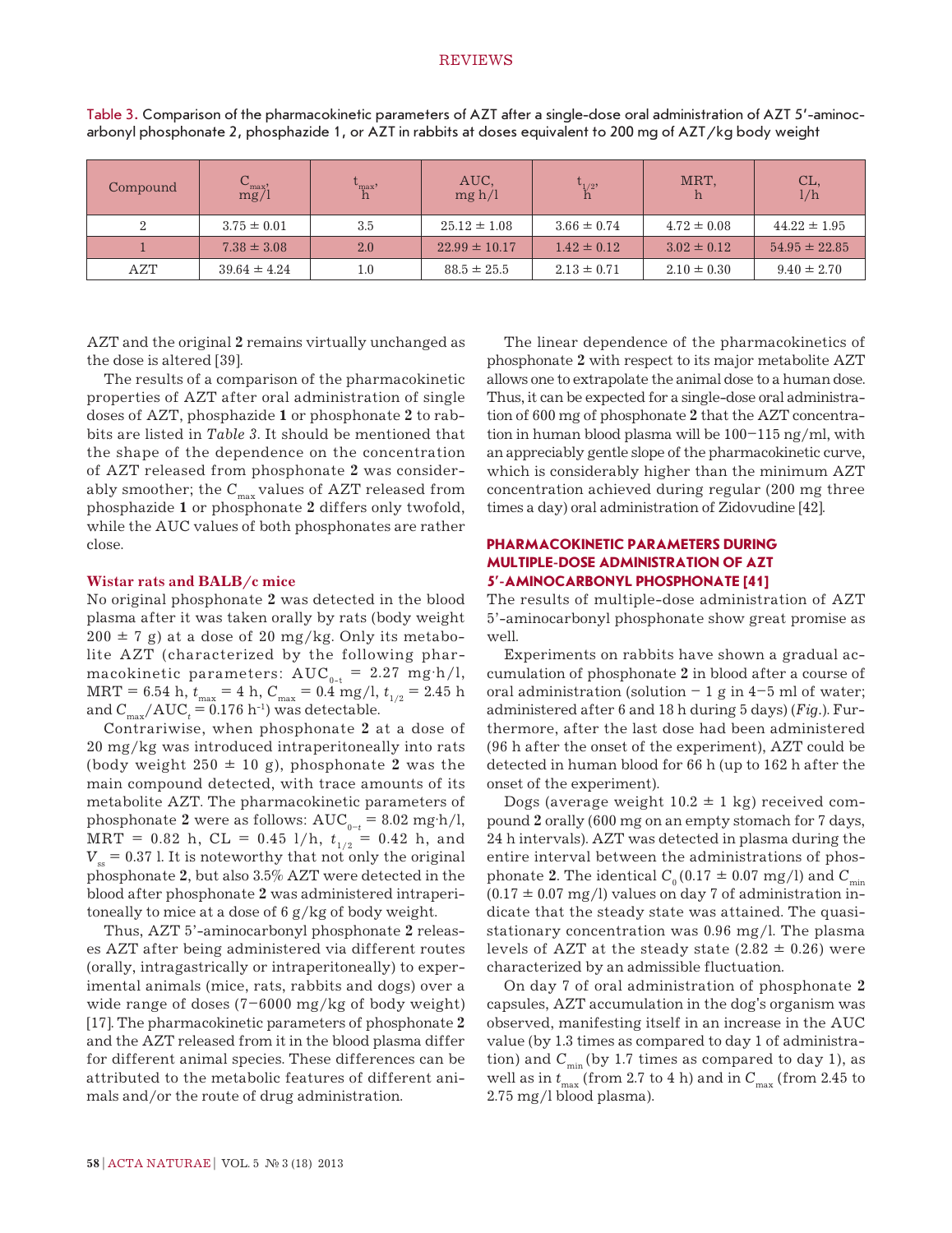## REVIEWS

| Compound | $\frac{C_{\text{max}}}{mg/1}$ | $\mathbf{v}_{\max}$ | AUC,<br>mg h/l    | $\iota_{1/2}$   | MRT,            | CL,<br>1/h        |
|----------|-------------------------------|---------------------|-------------------|-----------------|-----------------|-------------------|
|          | $3.75 \pm 0.01$               | 3.5                 | $25.12 \pm 1.08$  | $3.66 \pm 0.74$ | $4.72 \pm 0.08$ | $44.22 \pm 1.95$  |
|          | $7.38 \pm 3.08$               | 2.0                 | $22.99 \pm 10.17$ | $1.42 \pm 0.12$ | $3.02 \pm 0.12$ | $54.95 \pm 22.85$ |
| AZT      | $39.64 \pm 4.24$              | 1.0                 | $88.5 \pm 25.5$   | $2.13 \pm 0.71$ | $2.10 \pm 0.30$ | $9.40 \pm 2.70$   |

Table 3. Comparison of the pharmacokinetic parameters of AZT after a single-dose oral administration of AZT 5'-aminocarbonyl phosphonate 2, phosphazide 1, or AZT in rabbits at doses equivalent to 200 mg of AZT/kg body weight

AZT and the original **2** remains virtually unchanged as the dose is altered [39].

The results of a comparison of the pharmacokinetic properties of AZT after oral administration of single doses of AZT, phosphazide **1** or phosphonate **2** to rabbits are listed in *Table 3*. It should be mentioned that the shape of the dependence on the concentration of AZT released from phosphonate **2** was considerably smoother; the C<sub>max</sub> values of AZT released from phosphazide **1** or phosphonate **2** differs only twofold, while the AUC values of both phosphonates are rather close.

### **Wistar rats and BALB/c mice**

No original phosphonate **2** was detected in the blood plasma after it was taken orally by rats (body weight  $200 \pm 7$  g) at a dose of 20 mg/kg. Only its metabolite AZT (characterized by the following pharmacokinetic parameters:  $AUC_{0-t} = 2.27$  mg·h/l, MRT = 6.54 h,  $t_{\text{max}} = 4$  h,  $C_{\text{max}} = 0.4$  mg/l,  $t_{1/2} = 2.45$  h and  $C_{\text{max}}/AUC_t = 0.176 \text{ h}^{-1}$ ) was detectable.

Contrariwise, when phosphonate **2** at a dose of 20 mg/kg was introduced intraperitoneally into rats (body weight  $250 \pm 10$  g), phosphonate 2 was the main compound detected, with trace amounts of its metabolite AZT. The pharmacokinetic parameters of phosphonate 2 were as follows:  $AUC_{0-t} = 8.02$  mg·h/l, MRT = 0.82 h, CL = 0.45 l/h,  $t_{1/2}$  = 0.42 h, and  $V<sub>ss</sub> = 0.37$  l. It is noteworthy that not only the original phosphonate **2**, but also 3.5% AZT were detected in the blood after phosphonate **2** was administered intraperitoneally to mice at a dose of 6 g/kg of body weight.

Thus, AZT 5'-aminocarbonyl phosphonate **2** releases AZT after being administered via different routes (orally, intragastrically or intraperitoneally) to experimental animals (mice, rats, rabbits and dogs) over a wide range of doses (7–6000 mg/kg of body weight) [17]. The pharmacokinetic parameters of phosphonate **2** and the AZT released from it in the blood plasma differ for different animal species. These differences can be attributed to the metabolic features of different animals and/or the route of drug administration.

The linear dependence of the pharmacokinetics of phosphonate **2** with respect to its major metabolite AZT allows one to extrapolate the animal dose to a human dose. Thus, it can be expected for a single-dose oral administration of 600 mg of phosphonate **2** that the AZT concentration in human blood plasma will be 100–115 ng/ml, with an appreciably gentle slope of the pharmacokinetic curve, which is considerably higher than the minimum AZT concentration achieved during regular (200 mg three times a day) oral administration of Zidovudine [42].

# **PHARMACOKINETIC PARAMETERS DURING MULTIPLE-DOSE ADMINISTRATION OF AZT 5'-AMINOCARBONYL PHOSPHONATE [41]**

The results of multiple-dose administration of AZT 5'-aminocarbonyl phosphonate show great promise as well.

Experiments on rabbits have shown a gradual accumulation of phosphonate **2** in blood after a course of oral administration (solution  $-1$  g in  $4-5$  ml of water; administered after 6 and 18 h during 5 days) (*Fig.*). Furthermore, after the last dose had been administered (96 h after the onset of the experiment), AZT could be detected in human blood for 66 h (up to 162 h after the onset of the experiment).

Dogs (average weight  $10.2 \pm 1$  kg) received compound **2** orally (600 mg on an empty stomach for 7 days, 24 h intervals). AZT was detected in plasma during the entire interval between the administrations of phosphonate **2**. The identical  $C_0 (0.17 \pm 0.07 \text{ mg/l})$  and  $C_{\text{min}}$  $(0.17 \pm 0.07 \text{ mg/l})$  values on day 7 of administration indicate that the steady state was attained. The quasistationary concentration was 0.96 mg/l. The plasma levels of AZT at the steady state  $(2.82 \pm 0.26)$  were characterized by an admissible fluctuation.

On day 7 of oral administration of phosphonate **2** capsules, AZT accumulation in the dog's organism was observed, manifesting itself in an increase in the AUC value (by 1.3 times as compared to day 1 of administration) and  $C_{\text{min}}$  (by 1.7 times as compared to day 1), as well as in  $t_{\text{max}}$  (from 2.7 to 4 h) and in  $C_{\text{max}}$  (from 2.45 to 2.75 mg/l blood plasma).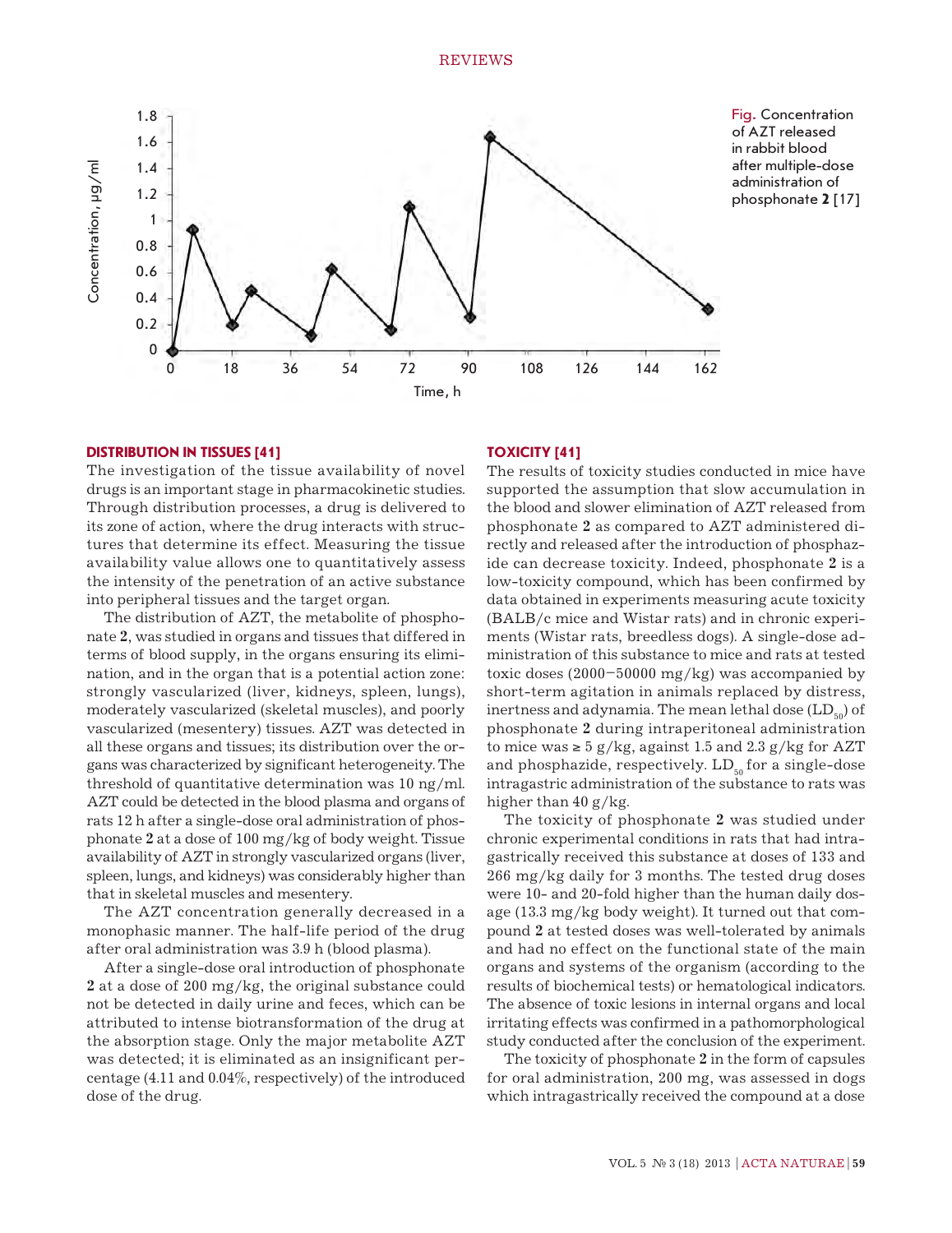

**Distribution in tissues [41]**

The investigation of the tissue availability of novel drugs is an important stage in pharmacokinetic studies. Through distribution processes, a drug is delivered to its zone of action, where the drug interacts with structures that determine its effect. Measuring the tissue availability value allows one to quantitatively assess the intensity of the penetration of an active substance into peripheral tissues and the target organ.

The distribution of AZT, the metabolite of phosphonate **2**, was studied in organs and tissues that differed in terms of blood supply, in the organs ensuring its elimination, and in the organ that is a potential action zone: strongly vascularized (liver, kidneys, spleen, lungs), moderately vascularized (skeletal muscles), and poorly vascularized (mesentery) tissues. AZT was detected in all these organs and tissues; its distribution over the organs was characterized by significant heterogeneity. The threshold of quantitative determination was 10 ng/ml. AZT could be detected in the blood plasma and organs of rats 12 h after a single-dose oral administration of phosphonate **2** at a dose of 100 mg/kg of body weight. Tissue availability of AZT in strongly vascularized organs (liver, spleen, lungs, and kidneys) was considerably higher than that in skeletal muscles and mesentery.

The AZT concentration generally decreased in a monophasic manner. The half-life period of the drug after oral administration was 3.9 h (blood plasma).

After a single-dose oral introduction of phosphonate **2** at a dose of 200 mg/kg, the original substance could not be detected in daily urine and feces, which can be attributed to intense biotransformation of the drug at the absorption stage. Only the major metabolite AZT was detected; it is eliminated as an insignificant percentage (4.11 and 0.04%, respectively) of the introduced dose of the drug.

# **Toxicity [41]**

The results of toxicity studies conducted in mice have supported the assumption that slow accumulation in the blood and slower elimination of AZT released from phosphonate **2** as compared to AZT administered directly and released after the introduction of phosphazide can decrease toxicity. Indeed, phosphonate **2** is a low-toxicity compound, which has been confirmed by data obtained in experiments measuring acute toxicity (BALB/c mice and Wistar rats) and in chronic experiments (Wistar rats, breedless dogs). A single-dose administration of this substance to mice and rats at tested toxic doses (2000–50000 mg/kg) was accompanied by short-term agitation in animals replaced by distress, inertness and adynamia. The mean lethal dose  $(LD_{50})$  of phosphonate **2** during intraperitoneal administration to mice was  $\geq 5$  g/kg, against 1.5 and 2.3 g/kg for AZT and phosphazide, respectively.  $LD_{50}$  for a single-dose intragastric administration of the substance to rats was higher than  $40 g/kg$ .

The toxicity of phosphonate **2** was studied under chronic experimental conditions in rats that had intragastrically received this substance at doses of 133 and 266 mg/kg daily for 3 months. The tested drug doses were 10- and 20-fold higher than the human daily dosage (13.3 mg/kg body weight). It turned out that compound **2** at tested doses was well-tolerated by animals and had no effect on the functional state of the main organs and systems of the organism (according to the results of biochemical tests) or hematological indicators. The absence of toxic lesions in internal organs and local irritating effects was confirmed in a pathomorphological study conducted after the conclusion of the experiment.

The toxicity of phosphonate **2** in the form of capsules for oral administration, 200 mg, was assessed in dogs which intragastrically received the compound at a dose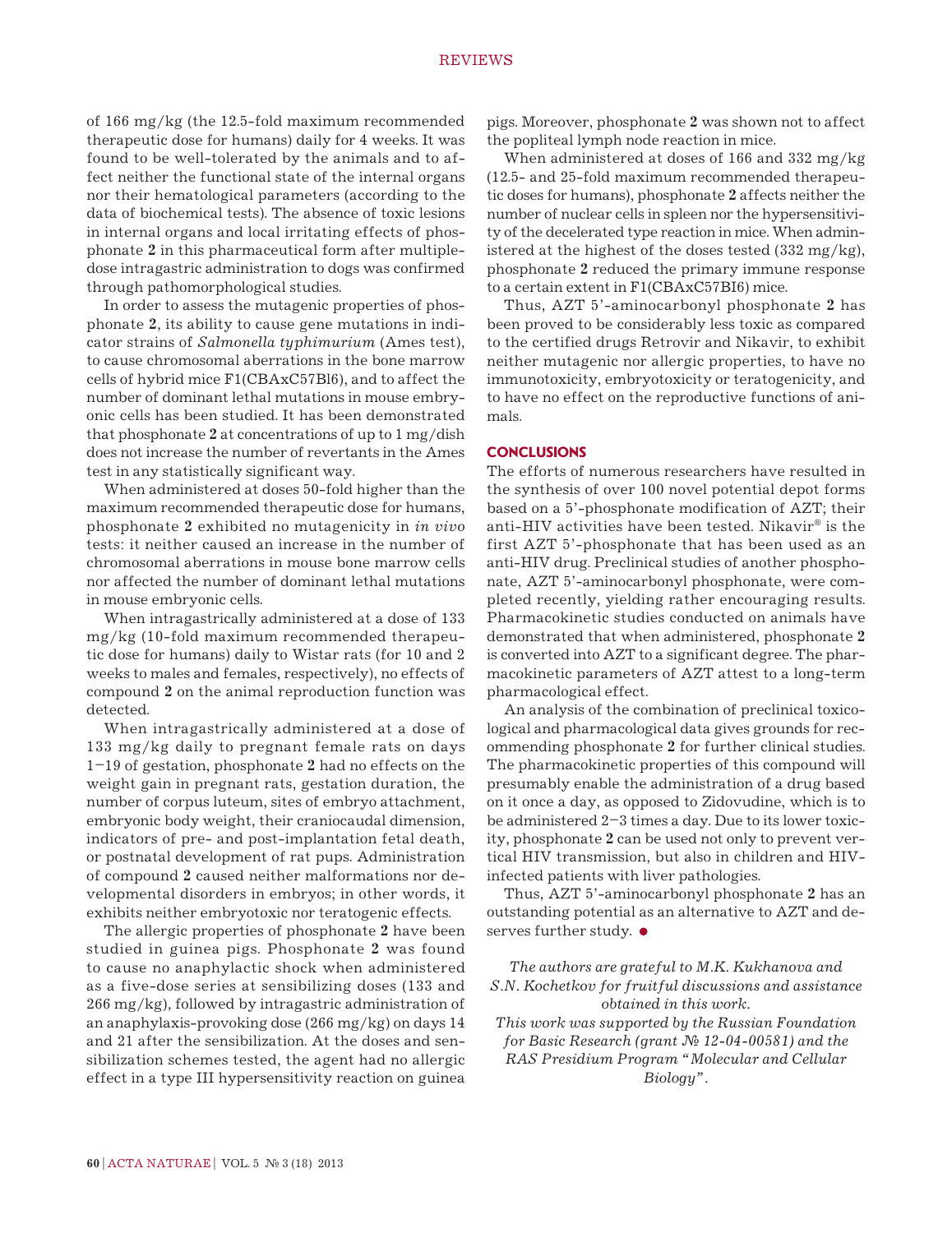of 166 mg/kg (the 12.5-fold maximum recommended therapeutic dose for humans) daily for 4 weeks. It was found to be well-tolerated by the animals and to affect neither the functional state of the internal organs nor their hematological parameters (according to the data of biochemical tests). The absence of toxic lesions in internal organs and local irritating effects of phosphonate **2** in this pharmaceutical form after multipledose intragastric administration to dogs was confirmed through pathomorphological studies.

In order to assess the mutagenic properties of phosphonate **2**, its ability to cause gene mutations in indicator strains of *Salmonella typhimurium* (Ames test), to cause chromosomal aberrations in the bone marrow cells of hybrid mice F1(CBAxC57Bl6), and to affect the number of dominant lethal mutations in mouse embryonic cells has been studied. It has been demonstrated that phosphonate **2** at concentrations of up to 1 mg/dish does not increase the number of revertants in the Ames test in any statistically significant way.

When administered at doses 50-fold higher than the maximum recommended therapeutic dose for humans, phosphonate **2** exhibited no mutagenicity in *in vivo* tests: it neither caused an increase in the number of chromosomal aberrations in mouse bone marrow cells nor affected the number of dominant lethal mutations in mouse embryonic cells.

When intragastrically administered at a dose of 133 mg/kg (10-fold maximum recommended therapeutic dose for humans) daily to Wistar rats (for 10 and 2 weeks to males and females, respectively), no effects of compound **2** on the animal reproduction function was detected.

When intragastrically administered at a dose of 133 mg/kg daily to pregnant female rats on days 1–19 of gestation, phosphonate **2** had no effects on the weight gain in pregnant rats, gestation duration, the number of corpus luteum, sites of embryo attachment, embryonic body weight, their craniocaudal dimension, indicators of pre- and post-implantation fetal death, or postnatal development of rat pups. Administration of compound **2** caused neither malformations nor developmental disorders in embryos; in other words, it exhibits neither embryotoxic nor teratogenic effects.

The allergic properties of phosphonate **2** have been studied in guinea pigs. Phosphonate **2** was found to cause no anaphylactic shock when administered as a five-dose series at sensibilizing doses (133 and 266 mg/kg), followed by intragastric administration of an anaphylaxis-provoking dose (266 mg/kg) on days 14 and 21 after the sensibilization. At the doses and sensibilization schemes tested, the agent had no allergic effect in a type III hypersensitivity reaction on guinea

pigs. Moreover, phosphonate **2** was shown not to affect the popliteal lymph node reaction in mice.

When administered at doses of 166 and 332 mg/kg (12.5- and 25-fold maximum recommended therapeutic doses for humans), phosphonate **2** affects neither the number of nuclear cells in spleen nor the hypersensitivity of the decelerated type reaction in mice. When administered at the highest of the doses tested (332 mg/kg), phosphonate **2** reduced the primary immune response to a certain extent in F1(CBAxC57BI6) mice.

Thus, AZT 5'-aminocarbonyl phosphonate **2** has been proved to be considerably less toxic as compared to the certified drugs Retrovir and Nikavir, to exhibit neither mutagenic nor allergic properties, to have no immunotoxicity, embryotoxicity or teratogenicity, and to have no effect on the reproductive functions of animals.

## **CONCLUSIONS**

The efforts of numerous researchers have resulted in the synthesis of over 100 novel potential depot forms based on a 5'-phosphonate modification of AZT; their anti-HIV activities have been tested. Nikavir<sup>®</sup> is the first AZT 5'-phosphonate that has been used as an anti-HIV drug. Preclinical studies of another phosphonate, AZT 5'-aminocarbonyl phosphonate, were completed recently, yielding rather encouraging results. Pharmacokinetic studies conducted on animals have demonstrated that when administered, phosphonate **2** is converted into AZT to a significant degree. The pharmacokinetic parameters of AZT attest to a long-term pharmacological effect.

An analysis of the combination of preclinical toxicological and pharmacological data gives grounds for recommending phosphonate **2** for further clinical studies. The pharmacokinetic properties of this compound will presumably enable the administration of a drug based on it once a day, as opposed to Zidovudine, which is to be administered 2–3 times a day. Due to its lower toxicity, phosphonate **2** can be used not only to prevent vertical HIV transmission, but also in children and HIVinfected patients with liver pathologies.

Thus, AZT 5'-aminocarbonyl phosphonate **2** has an outstanding potential as an alternative to AZT and deserves further study.  $\bullet$ 

*The authors are grateful to M.K. Kukhanova and S.N. Kochetkov for fruitful discussions and assistance obtained in this work.*

*This work was supported by the Russian Foundation for Basic Research (grant № 12-04-00581) and the RAS Presidium Program "Molecular and Cellular Biology".*